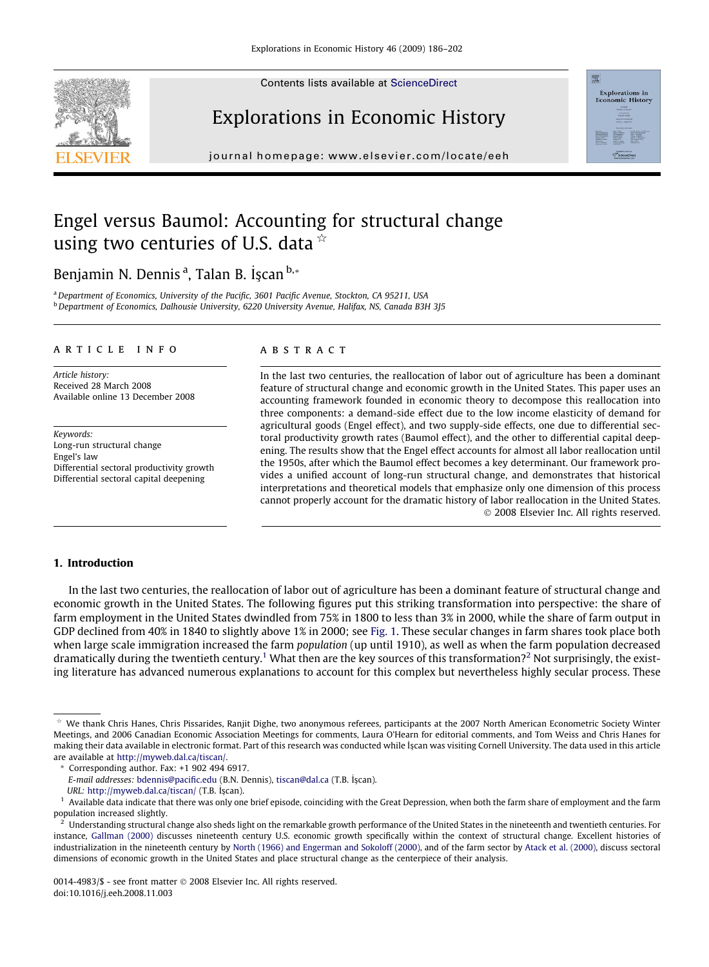Contents lists available at [ScienceDirect](http://www.sciencedirect.com/science/journal/00144983)



# Explorations in Economic History

journal homepage: [www.elsevier.com/locate/eeh](http://www.elsevier.com/locate/eeh)

# **Explorations in**<br>Economic Histor

# Engel versus Baumol: Accounting for structural change using two centuries of U.S. data  $\dot{\alpha}$

## Benjamin N. Dennis <sup>a</sup>, Talan B. İşcan <sup>b,</sup>\*

a Department of Economics, University of the Pacific, 3601 Pacific Avenue, Stockton, CA 95211, USA <sup>b</sup> Department of Economics, Dalhousie University, 6220 University Avenue, Halifax, NS, Canada B3H 3J5

### article info

Article history: Received 28 March 2008 Available online 13 December 2008

Keywords: Long-run structural change Engel's law Differential sectoral productivity growth Differential sectoral capital deepening

### **ABSTRACT**

In the last two centuries, the reallocation of labor out of agriculture has been a dominant feature of structural change and economic growth in the United States. This paper uses an accounting framework founded in economic theory to decompose this reallocation into three components: a demand-side effect due to the low income elasticity of demand for agricultural goods (Engel effect), and two supply-side effects, one due to differential sectoral productivity growth rates (Baumol effect), and the other to differential capital deepening. The results show that the Engel effect accounts for almost all labor reallocation until the 1950s, after which the Baumol effect becomes a key determinant. Our framework provides a unified account of long-run structural change, and demonstrates that historical interpretations and theoretical models that emphasize only one dimension of this process cannot properly account for the dramatic history of labor reallocation in the United States. - 2008 Elsevier Inc. All rights reserved.

### 1. Introduction

In the last two centuries, the reallocation of labor out of agriculture has been a dominant feature of structural change and economic growth in the United States. The following figures put this striking transformation into perspective: the share of farm employment in the United States dwindled from 75% in 1800 to less than 3% in 2000, while the share of farm output in GDP declined from 40% in 1840 to slightly above 1% in 2000; see [Fig. 1.](#page-1-0) These secular changes in farm shares took place both when large scale immigration increased the farm *population* (up until 1910), as well as when the farm population decreased dramatically during the twentieth century.<sup>1</sup> What then are the key sources of this transformation?<sup>2</sup> Not surprisingly, the existing literature has advanced numerous explanations to account for this complex but nevertheless highly secular process. These

Corresponding author. Fax:  $+1$  902 494 6917. E-mail addresses: [bdennis@pacific.edu](mailto:bdennis@pacific.edu) (B.N. Dennis), [tiscan@dal.ca](mailto:tiscan@dal.ca) (T.B. İşcan). URL: <http://myweb.dal.ca/tiscan/> (T.B. İşcan).

We thank Chris Hanes, Chris Pissarides, Ranjit Dighe, two anonymous referees, participants at the 2007 North American Econometric Society Winter Meetings, and 2006 Canadian Economic Association Meetings for comments, Laura O'Hearn for editorial comments, and Tom Weiss and Chris Hanes for making their data available in electronic format. Part of this research was conducted while *iscan was visiting Cornell University*. The data used in this article are available at <http://myweb.dal.ca/tiscan/>.

 $1$  Available data indicate that there was only one brief episode, coinciding with the Great Depression, when both the farm share of employment and the farm population increased slightly.

<sup>2</sup> Understanding structural change also sheds light on the remarkable growth performance of the United States in the nineteenth and twentieth centuries. For instance, [Gallman \(2000\)](#page-16-0) discusses nineteenth century U.S. economic growth specifically within the context of structural change. Excellent histories of industrialization in the nineteenth century by [North \(1966\) and Engerman and Sokoloff \(2000\),](#page-16-0) and of the farm sector by [Atack et al. \(2000\),](#page-15-0) discuss sectoral dimensions of economic growth in the United States and place structural change as the centerpiece of their analysis.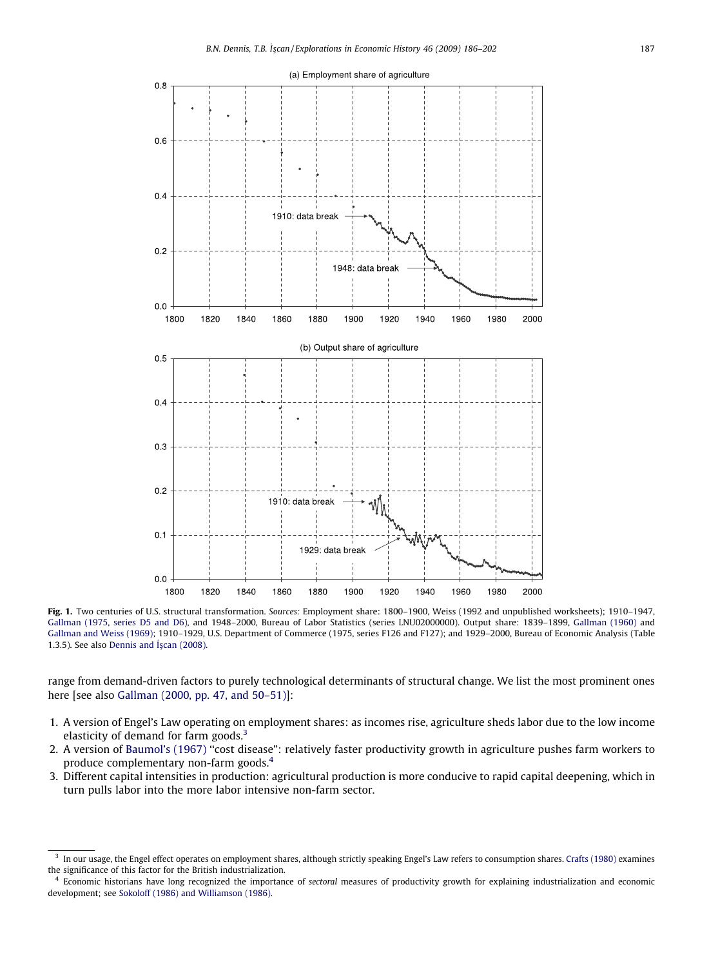<span id="page-1-0"></span>

Fig. 1. Two centuries of U.S. structural transformation. Sources: Employment share: 1800–1900, Weiss (1992 and unpublished worksheets); 1910–1947, [Gallman \(1975, series D5 and D6\),](#page-16-0) and 1948–2000, Bureau of Labor Statistics (series LNU02000000). Output share: 1839–1899, [Gallman \(1960\)](#page-15-0) and [Gallman and Weiss \(1969\)](#page-16-0); 1910–1929, U.S. Department of Commerce (1975, series F126 and F127); and 1929–2000, Bureau of Economic Analysis (Table 1.3.5). See also [Dennis and](#page-15-0)  $i$ s[can \(2008\)](#page-15-0).

range from demand-driven factors to purely technological determinants of structural change. We list the most prominent ones here [see also [Gallman \(2000, pp. 47, and 50–51\)\]](#page-16-0):

- 1. A version of Engel's Law operating on employment shares: as incomes rise, agriculture sheds labor due to the low income elasticity of demand for farm goods. $3$
- 2. A version of [Baumol's \(1967\)](#page-15-0) ''cost disease": relatively faster productivity growth in agriculture pushes farm workers to produce complementary non-farm goods.<sup>4</sup>
- 3. Different capital intensities in production: agricultural production is more conducive to rapid capital deepening, which in turn pulls labor into the more labor intensive non-farm sector.

<sup>&</sup>lt;sup>3</sup> In our usage, the Engel effect operates on employment shares, although strictly speaking Engel's Law refers to consumption shares. [Crafts \(1980\)](#page-15-0) examines the significance of this factor for the British industrialization.

<sup>&</sup>lt;sup>4</sup> Economic historians have long recognized the importance of sectoral measures of productivity growth for explaining industrialization and economic development; see [Sokoloff \(1986\) and Williamson \(1986\).](#page-16-0)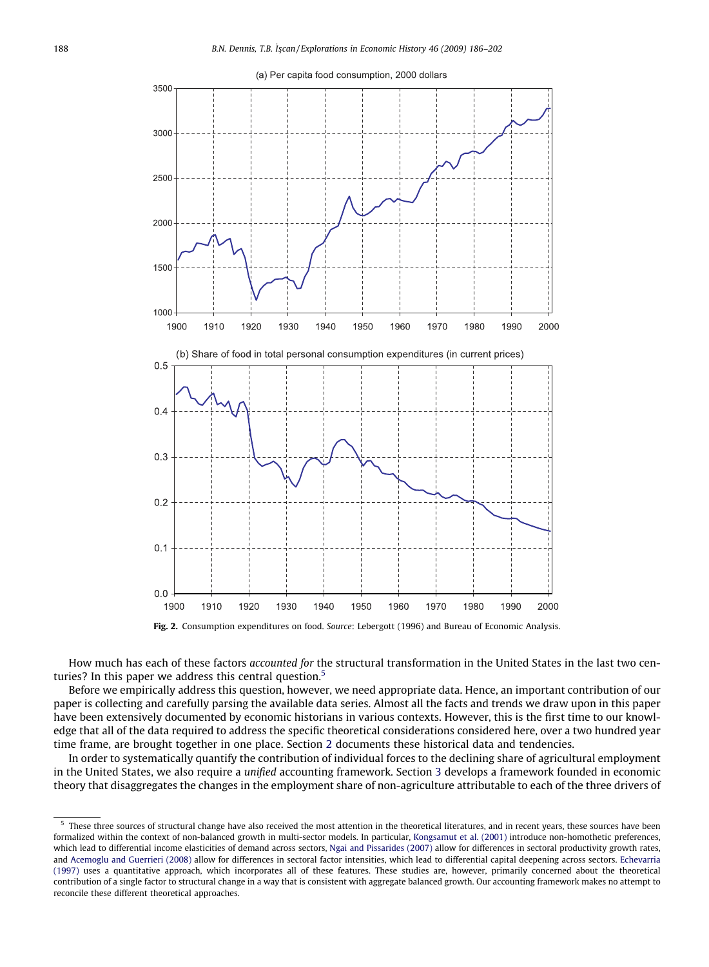<span id="page-2-0"></span>

Fig. 2. Consumption expenditures on food. Source: Lebergott (1996) and Bureau of Economic Analysis.

How much has each of these factors *accounted for the structural transformation in the United States in the last two cen*turies? In this paper we address this central question.<sup>5</sup>

Before we empirically address this question, however, we need appropriate data. Hence, an important contribution of our paper is collecting and carefully parsing the available data series. Almost all the facts and trends we draw upon in this paper have been extensively documented by economic historians in various contexts. However, this is the first time to our knowledge that all of the data required to address the specific theoretical considerations considered here, over a two hundred year time frame, are brought together in one place. Section 2 documents these historical data and tendencies.

In order to systematically quantify the contribution of individual forces to the declining share of agricultural employment in the United States, we also require a unified accounting framework. Section 3 develops a framework founded in economic theory that disaggregates the changes in the employment share of non-agriculture attributable to each of the three drivers of

<sup>&</sup>lt;sup>5</sup> These three sources of structural change have also received the most attention in the theoretical literatures, and in recent years, these sources have been formalized within the context of non-balanced growth in multi-sector models. In particular, [Kongsamut et al. \(2001\)](#page-16-0) introduce non-homothetic preferences, which lead to differential income elasticities of demand across sectors, [Ngai and Pissarides \(2007\)](#page-16-0) allow for differences in sectoral productivity growth rates, and [Acemoglu and Guerrieri \(2008\)](#page-15-0) allow for differences in sectoral factor intensities, which lead to differential capital deepening across sectors. [Echevarria](#page-15-0) [\(1997\)](#page-15-0) uses a quantitative approach, which incorporates all of these features. These studies are, however, primarily concerned about the theoretical contribution of a single factor to structural change in a way that is consistent with aggregate balanced growth. Our accounting framework makes no attempt to reconcile these different theoretical approaches.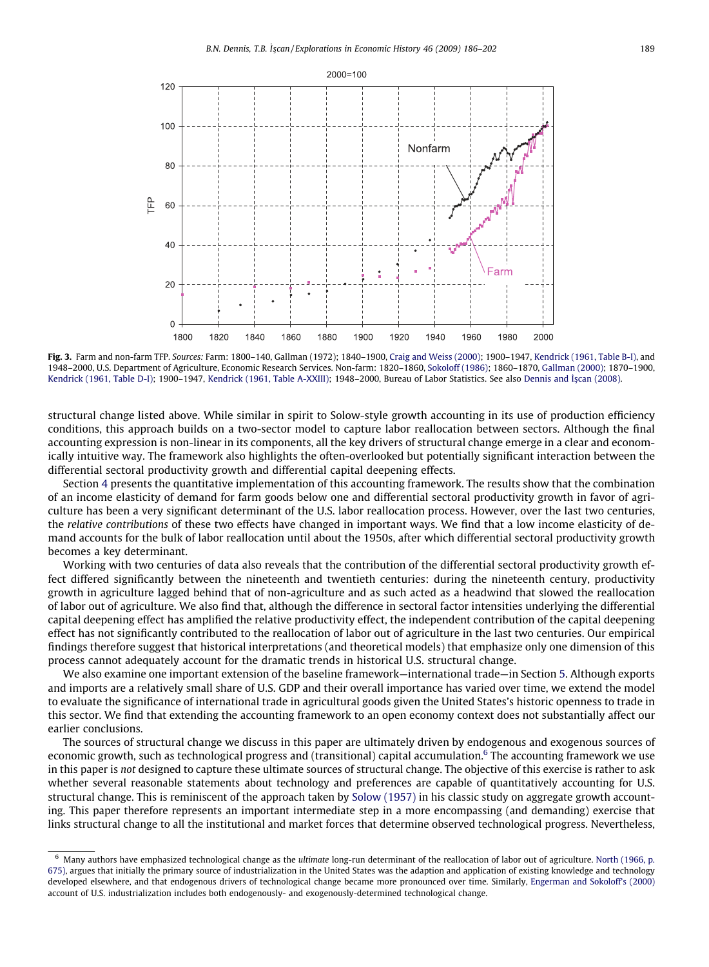<span id="page-3-0"></span>

Fig. 3. Farm and non-farm TFP. Sources: Farm: 1800–140, Gallman (1972); 1840–1900, [Craig and Weiss \(2000\)](#page-15-0); 1900–1947, [Kendrick \(1961, Table B-I\),](#page-16-0) and 1948–2000, U.S. Department of Agriculture, Economic Research Services. Non-farm: 1820–1860, [Sokoloff \(1986\);](#page-16-0) 1860–1870, [Gallman \(2000\)](#page-16-0); 1870–1900, [Kendrick \(1961, Table D-I\)](#page-16-0); 1900–1947, [Kendrick \(1961, Table A-XXIII\);](#page-16-0) 1948–2000, Bureau of Labor Statistics. See also [Dennis and](#page-15-0) İş[can \(2008\).](#page-15-0)

structural change listed above. While similar in spirit to Solow-style growth accounting in its use of production efficiency conditions, this approach builds on a two-sector model to capture labor reallocation between sectors. Although the final accounting expression is non-linear in its components, all the key drivers of structural change emerge in a clear and economically intuitive way. The framework also highlights the often-overlooked but potentially significant interaction between the differential sectoral productivity growth and differential capital deepening effects.

Section 4 presents the quantitative implementation of this accounting framework. The results show that the combination of an income elasticity of demand for farm goods below one and differential sectoral productivity growth in favor of agriculture has been a very significant determinant of the U.S. labor reallocation process. However, over the last two centuries, the relative contributions of these two effects have changed in important ways. We find that a low income elasticity of demand accounts for the bulk of labor reallocation until about the 1950s, after which differential sectoral productivity growth becomes a key determinant.

Working with two centuries of data also reveals that the contribution of the differential sectoral productivity growth effect differed significantly between the nineteenth and twentieth centuries: during the nineteenth century, productivity growth in agriculture lagged behind that of non-agriculture and as such acted as a headwind that slowed the reallocation of labor out of agriculture. We also find that, although the difference in sectoral factor intensities underlying the differential capital deepening effect has amplified the relative productivity effect, the independent contribution of the capital deepening effect has not significantly contributed to the reallocation of labor out of agriculture in the last two centuries. Our empirical findings therefore suggest that historical interpretations (and theoretical models) that emphasize only one dimension of this process cannot adequately account for the dramatic trends in historical U.S. structural change.

We also examine one important extension of the baseline framework—international trade—in Section 5. Although exports and imports are a relatively small share of U.S. GDP and their overall importance has varied over time, we extend the model to evaluate the significance of international trade in agricultural goods given the United States's historic openness to trade in this sector. We find that extending the accounting framework to an open economy context does not substantially affect our earlier conclusions.

The sources of structural change we discuss in this paper are ultimately driven by endogenous and exogenous sources of economic growth, such as technological progress and (transitional) capital accumulation.<sup>6</sup> The accounting framework we use in this paper is not designed to capture these ultimate sources of structural change. The objective of this exercise is rather to ask whether several reasonable statements about technology and preferences are capable of quantitatively accounting for U.S. structural change. This is reminiscent of the approach taken by [Solow \(1957\)](#page-16-0) in his classic study on aggregate growth accounting. This paper therefore represents an important intermediate step in a more encompassing (and demanding) exercise that links structural change to all the institutional and market forces that determine observed technological progress. Nevertheless,

<sup>6</sup> Many authors have emphasized technological change as the ultimate long-run determinant of the reallocation of labor out of agriculture. [North \(1966, p.](#page-16-0) [675\)](#page-16-0), argues that initially the primary source of industrialization in the United States was the adaption and application of existing knowledge and technology developed elsewhere, and that endogenous drivers of technological change became more pronounced over time. Similarly, [Engerman and Sokoloff's \(2000\)](#page-15-0) account of U.S. industrialization includes both endogenously- and exogenously-determined technological change.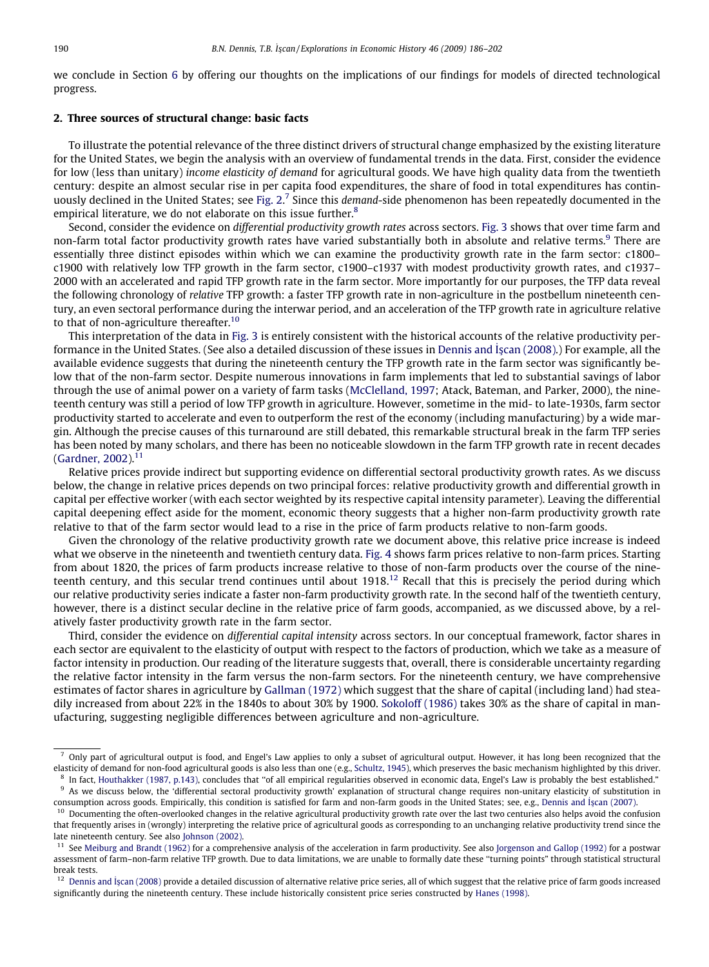we conclude in Section 6 by offering our thoughts on the implications of our findings for models of directed technological progress.

### 2. Three sources of structural change: basic facts

To illustrate the potential relevance of the three distinct drivers of structural change emphasized by the existing literature for the United States, we begin the analysis with an overview of fundamental trends in the data. First, consider the evidence for low (less than unitary) income elasticity of demand for agricultural goods. We have high quality data from the twentieth century: despite an almost secular rise in per capita food expenditures, the share of food in total expenditures has contin-uously declined in the United States; see [Fig. 2](#page-2-0).<sup>7</sup> Since this demand-side phenomenon has been repeatedly documented in the empirical literature, we do not elaborate on this issue further.<sup>8</sup>

Second, consider the evidence on differential productivity growth rates across sectors. [Fig. 3](#page-3-0) shows that over time farm and non-farm total factor productivity growth rates have varied substantially both in absolute and relative terms. $9$  There are essentially three distinct episodes within which we can examine the productivity growth rate in the farm sector: c1800– c1900 with relatively low TFP growth in the farm sector, c1900–c1937 with modest productivity growth rates, and c1937– 2000 with an accelerated and rapid TFP growth rate in the farm sector. More importantly for our purposes, the TFP data reveal the following chronology of relative TFP growth: a faster TFP growth rate in non-agriculture in the postbellum nineteenth century, an even sectoral performance during the interwar period, and an acceleration of the TFP growth rate in agriculture relative to that of non-agriculture thereafter.<sup>10</sup>

This interpretation of the data in [Fig. 3](#page-3-0) is entirely consistent with the historical accounts of the relative productivity per-formance in the United States. (See also a detailed discussion of these issues in [Dennis and](#page-15-0) *ls[can \(2008\).](#page-15-0)*) For example, all the available evidence suggests that during the nineteenth century the TFP growth rate in the farm sector was significantly below that of the non-farm sector. Despite numerous innovations in farm implements that led to substantial savings of labor through the use of animal power on a variety of farm tasks ([McClelland, 1997](#page-16-0); Atack, Bateman, and Parker, 2000), the nineteenth century was still a period of low TFP growth in agriculture. However, sometime in the mid- to late-1930s, farm sector productivity started to accelerate and even to outperform the rest of the economy (including manufacturing) by a wide margin. Although the precise causes of this turnaround are still debated, this remarkable structural break in the farm TFP series has been noted by many scholars, and there has been no noticeable slowdown in the farm TFP growth rate in recent decades [\(Gardner, 2002](#page-16-0)).<sup>11</sup>

Relative prices provide indirect but supporting evidence on differential sectoral productivity growth rates. As we discuss below, the change in relative prices depends on two principal forces: relative productivity growth and differential growth in capital per effective worker (with each sector weighted by its respective capital intensity parameter). Leaving the differential capital deepening effect aside for the moment, economic theory suggests that a higher non-farm productivity growth rate relative to that of the farm sector would lead to a rise in the price of farm products relative to non-farm goods.

Given the chronology of the relative productivity growth rate we document above, this relative price increase is indeed what we observe in the nineteenth and twentieth century data. [Fig. 4](#page-5-0) shows farm prices relative to non-farm prices. Starting from about 1820, the prices of farm products increase relative to those of non-farm products over the course of the nineteenth century, and this secular trend continues until about  $1918<sup>12</sup>$  Recall that this is precisely the period during which our relative productivity series indicate a faster non-farm productivity growth rate. In the second half of the twentieth century, however, there is a distinct secular decline in the relative price of farm goods, accompanied, as we discussed above, by a relatively faster productivity growth rate in the farm sector.

Third, consider the evidence on differential capital intensity across sectors. In our conceptual framework, factor shares in each sector are equivalent to the elasticity of output with respect to the factors of production, which we take as a measure of factor intensity in production. Our reading of the literature suggests that, overall, there is considerable uncertainty regarding the relative factor intensity in the farm versus the non-farm sectors. For the nineteenth century, we have comprehensive estimates of factor shares in agriculture by [Gallman \(1972\)](#page-15-0) which suggest that the share of capital (including land) had steadily increased from about 22% in the 1840s to about 30% by 1900. [Sokoloff \(1986\)](#page-16-0) takes 30% as the share of capital in manufacturing, suggesting negligible differences between agriculture and non-agriculture.

<sup>7</sup> Only part of agricultural output is food, and Engel's Law applies to only a subset of agricultural output. However, it has long been recognized that the elasticity of demand for non-food agricultural goods is also less than one (e.g., [Schultz, 1945\)](#page-16-0), which preserves the basic mechanism highlighted by this driver. In fact, [Houthakker \(1987, p.143\)](#page-16-0), concludes that "of all empirical regularities observed in economic data, Engel's Law is probably the best established."

 $9$  As we discuss below, the 'differential sectoral productivity growth' explanation of structural change requires non-unitary elasticity of substitution in consumption across goods. Empirically, this condition is satisfied for farm and non-farm goods in the United States; see, e.g., [Dennis and](#page-15-0) Is[can \(2007\).](#page-15-0)

<sup>10</sup> Documenting the often-overlooked changes in the relative agricultural productivity growth rate over the last two centuries also helps avoid the confusion that frequently arises in (wrongly) interpreting the relative price of agricultural goods as corresponding to an unchanging relative productivity trend since the late nineteenth century. See also [Johnson \(2002\).](#page-16-0)

See [Meiburg and Brandt \(1962\)](#page-16-0) for a comprehensive analysis of the acceleration in farm productivity. See also [Jorgenson and Gallop \(1992\)](#page-16-0) for a postwar assessment of farm–non-farm relative TFP growth. Due to data limitations, we are unable to formally date these ''turning points" through statistical structural break tests.

 $12$  [Dennis and](#page-15-0) *s[can \(2008\)](#page-15-0) provide a detailed discussion of alternative relative price series, all of which suggest that the relative price of farm goods increased* significantly during the nineteenth century. These include historically consistent price series constructed by [Hanes \(1998\)](#page-16-0).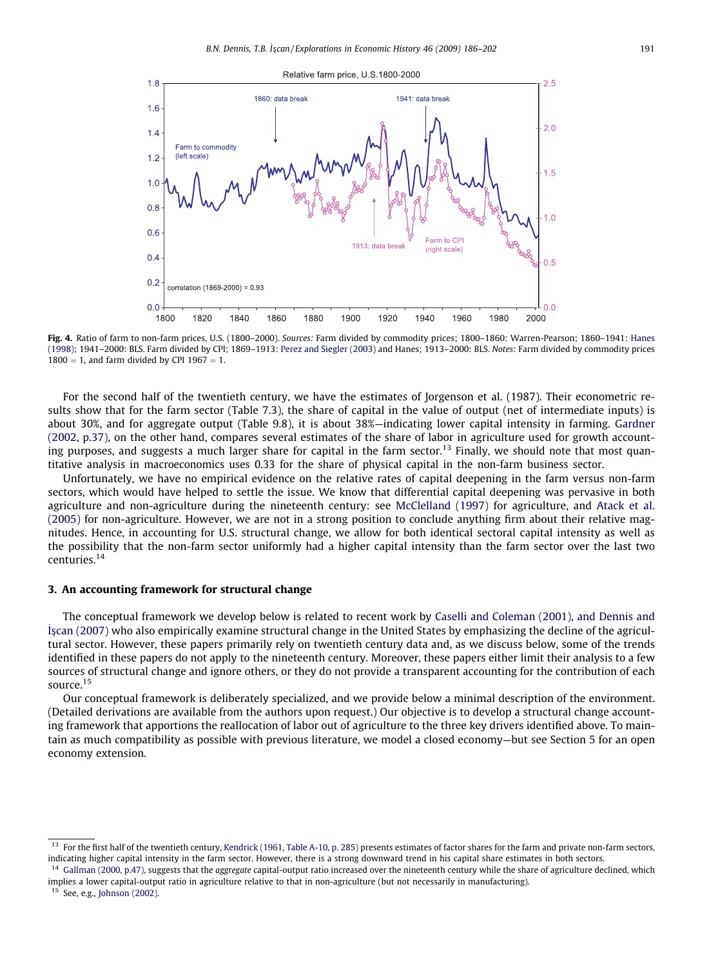<span id="page-5-0"></span>

Fig. 4. Ratio of farm to non-farm prices, U.S. (1800–2000). Sources: Farm divided by commodity prices: 1800–1860: Warren-Pearson: 1860–1941: [Hanes](#page-16-0) [\(1998\);](#page-16-0) 1941–2000: BLS. Farm divided by CPI; 1869–1913: [Perez and Siegler \(2003\)](#page-16-0) and Hanes; 1913–2000: BLS. Notes: Farm divided by commodity prices  $1800 = 1$ , and farm divided by CPI 1967 = 1.

For the second half of the twentieth century, we have the estimates of Jorgenson et al. (1987). Their econometric results show that for the farm sector (Table 7.3), the share of capital in the value of output (net of intermediate inputs) is about 30%, and for aggregate output (Table 9.8), it is about 38%—indicating lower capital intensity in farming. [Gardner](#page-16-0) [\(2002, p.37\),](#page-16-0) on the other hand, compares several estimates of the share of labor in agriculture used for growth accounting purposes, and suggests a much larger share for capital in the farm sector.<sup>13</sup> Finally, we should note that most quantitative analysis in macroeconomics uses 0.33 for the share of physical capital in the non-farm business sector.

Unfortunately, we have no empirical evidence on the relative rates of capital deepening in the farm versus non-farm sectors, which would have helped to settle the issue. We know that differential capital deepening was pervasive in both agriculture and non-agriculture during the nineteenth century: see [McClelland \(1997\)](#page-16-0) for agriculture, and [Atack et al.](#page-15-0) [\(2005\)](#page-15-0) for non-agriculture. However, we are not in a strong position to conclude anything firm about their relative magnitudes. Hence, in accounting for U.S. structural change, we allow for both identical sectoral capital intensity as well as the possibility that the non-farm sector uniformly had a higher capital intensity than the farm sector over the last two centuries.14

### 3. An accounting framework for structural change

The conceptual framework we develop below is related to recent work by [Caselli and Coleman \(2001\), and Dennis and](#page-15-0) \_ Is-[can \(2007\)](#page-15-0) who also empirically examine structural change in the United States by emphasizing the decline of the agricultural sector. However, these papers primarily rely on twentieth century data and, as we discuss below, some of the trends identified in these papers do not apply to the nineteenth century. Moreover, these papers either limit their analysis to a few sources of structural change and ignore others, or they do not provide a transparent accounting for the contribution of each source.<sup>15</sup>

Our conceptual framework is deliberately specialized, and we provide below a minimal description of the environment. (Detailed derivations are available from the authors upon request.) Our objective is to develop a structural change accounting framework that apportions the reallocation of labor out of agriculture to the three key drivers identified above. To maintain as much compatibility as possible with previous literature, we model a closed economy—but see Section 5 for an open economy extension.

<sup>&</sup>lt;sup>13</sup> For the first half of the twentieth century, [Kendrick \(1961, Table A-10, p. 285\)](#page-16-0) presents estimates of factor shares for the farm and private non-farm sectors, indicating higher capital intensity in the farm sector. However, there is a strong downward trend in his capital share estimates in both sectors.

<sup>&</sup>lt;sup>14</sup> [Gallman \(2000, p.47\),](#page-16-0) suggests that the aggregate capital-output ratio increased over the nineteenth century while the share of agriculture declined, which implies a lower capital-output ratio in agriculture relative to that in non-agriculture (but not necessarily in manufacturing).

 $15$  See, e.g., [Johnson \(2002\).](#page-16-0)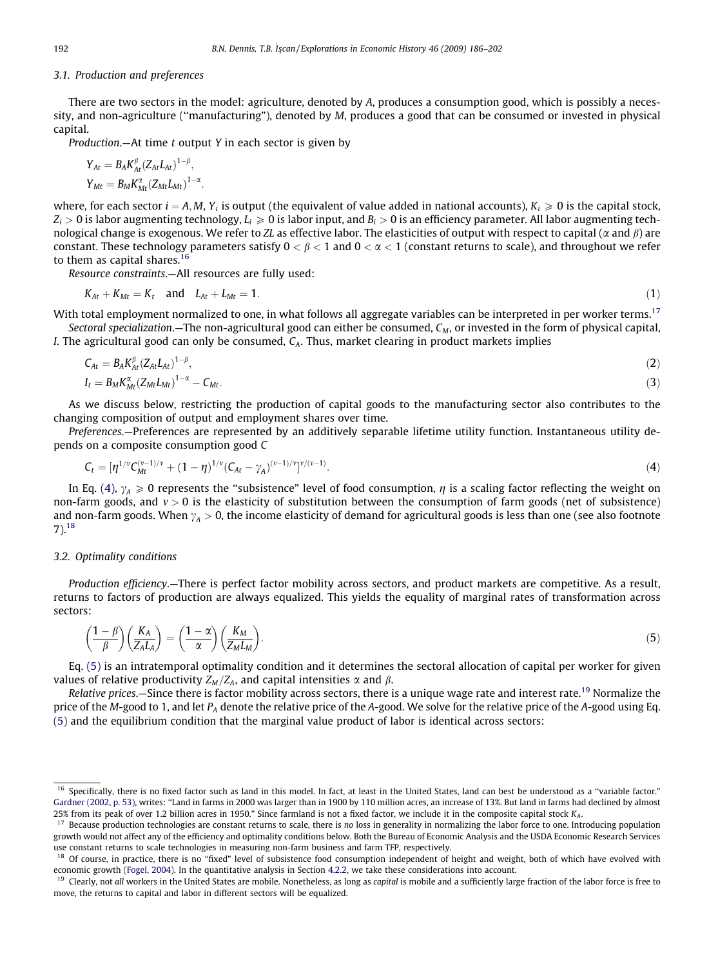### <span id="page-6-0"></span>3.1. Production and preferences

There are two sectors in the model: agriculture, denoted by A, produces a consumption good, which is possibly a necessity, and non-agriculture (''manufacturing"), denoted by M, produces a good that can be consumed or invested in physical capital.

Production.—At time t output Y in each sector is given by

$$
Y_{At} = B_A K_{At}^{\beta} (Z_{At} L_{At})^{1-\beta},
$$
  
\n
$$
Y_{Mt} = B_M K_{Mt}^{\alpha} (Z_{Mt} L_{Mt})^{1-\alpha}.
$$

where, for each sector  $i = A, M, Y_i$  is output (the equivalent of value added in national accounts),  $K_i \ge 0$  is the capital stock,  $Z_i > 0$  is labor augmenting technology,  $L_i \ge 0$  is labor input, and  $B_i > 0$  is an efficiency parameter. All labor augmenting technological change is exogenous. We refer to ZL as effective labor. The elasticities of output with respect to capital ( $\alpha$  and  $\beta$ ) are constant. These technology parameters satisfy  $0 < \beta < 1$  and  $0 < \alpha < 1$  (constant returns to scale), and throughout we refer to them as capital shares.<sup>16</sup>

Resource constraints.—All resources are fully used:

$$
K_{At} + K_{Mt} = K_t \quad \text{and} \quad L_{At} + L_{Mt} = 1. \tag{1}
$$

With total employment normalized to one, in what follows all aggregate variables can be interpreted in per worker terms.<sup>17</sup> Sectoral specialization.—The non-agricultural good can either be consumed,  $C_M$ , or invested in the form of physical capital,

I. The agricultural good can only be consumed,  $C_A$ . Thus, market clearing in product markets implies

$$
C_{At} = B_A K_{At}^{\beta} (Z_{At} L_{At})^{1-\beta},
$$
  
\n
$$
I_t = B_M K_{Mt}^{\alpha} (Z_{Mt} L_{Mt})^{1-\alpha} - C_{Mt}.
$$
\n(2)

As we discuss below, restricting the production of capital goods to the manufacturing sector also contributes to the changing composition of output and employment shares over time.

Preferences.—Preferences are represented by an additively separable lifetime utility function. Instantaneous utility depends on a composite consumption good C

$$
C_t = [\eta^{1/\nu} C_{Mt}^{(\nu-1)/\nu} + (1-\eta)^{1/\nu} (C_{At} - \gamma_A)^{(\nu-1)/\nu}]^{\nu/(\nu-1)}.
$$
\n(4)

In Eq. (4),  $\gamma_A \ge 0$  represents the "subsistence" level of food consumption,  $\eta$  is a scaling factor reflecting the weight on non-farm goods, and  $v > 0$  is the elasticity of substitution between the consumption of farm goods (net of subsistence) and non-farm goods. When  $\gamma_A > 0$ , the income elasticity of demand for agricultural goods is less than one (see also footnote 7).18

### 3.2. Optimality conditions

Production efficiency.—There is perfect factor mobility across sectors, and product markets are competitive. As a result, returns to factors of production are always equalized. This yields the equality of marginal rates of transformation across sectors:

$$
\left(\frac{1-\beta}{\beta}\right)\left(\frac{K_A}{Z_A L_A}\right) = \left(\frac{1-\alpha}{\alpha}\right)\left(\frac{K_M}{Z_M L_M}\right). \tag{5}
$$

Eq. (5) is an intratemporal optimality condition and it determines the sectoral allocation of capital per worker for given values of relative productivity  $Z_M/Z_A$ , and capital intensities  $\alpha$  and  $\beta$ .

Relative prices.—Since there is factor mobility across sectors, there is a unique wage rate and interest rate.<sup>19</sup> Normalize the price of the M-good to 1, and let  $P_A$  denote the relative price of the A-good. We solve for the relative price of the A-good using Eq. (5) and the equilibrium condition that the marginal value product of labor is identical across sectors:

<sup>&</sup>lt;sup>16</sup> Specifically, there is no fixed factor such as land in this model. In fact, at least in the United States, land can best be understood as a "variable factor." [Gardner \(2002, p. 53\),](#page-16-0) writes: ''Land in farms in 2000 was larger than in 1900 by 110 million acres, an increase of 13%. But land in farms had declined by almost 25% from its peak of over 1.2 billion acres in 1950." Since farmland is not a fixed factor, we include it in the composite capital stock  $K_A$ .

<sup>&</sup>lt;sup>17</sup> Because production technologies are constant returns to scale, there is no loss in generality in normalizing the labor force to one. Introducing population growth would not affect any of the efficiency and optimality conditions below. Both the Bureau of Economic Analysis and the USDA Economic Research Services use constant returns to scale technologies in measuring non-farm business and farm TFP, respectively.

<sup>&</sup>lt;sup>18</sup> Of course, in practice, there is no "fixed" level of subsistence food consumption independent of height and weight, both of which have evolved with economic growth [\(Fogel, 2004](#page-15-0)). In the quantitative analysis in Section 4.2.2, we take these considerations into account.

<sup>&</sup>lt;sup>19</sup> Clearly, not all workers in the United States are mobile. Nonetheless, as long as capital is mobile and a sufficiently large fraction of the labor force is free to move, the returns to capital and labor in different sectors will be equalized.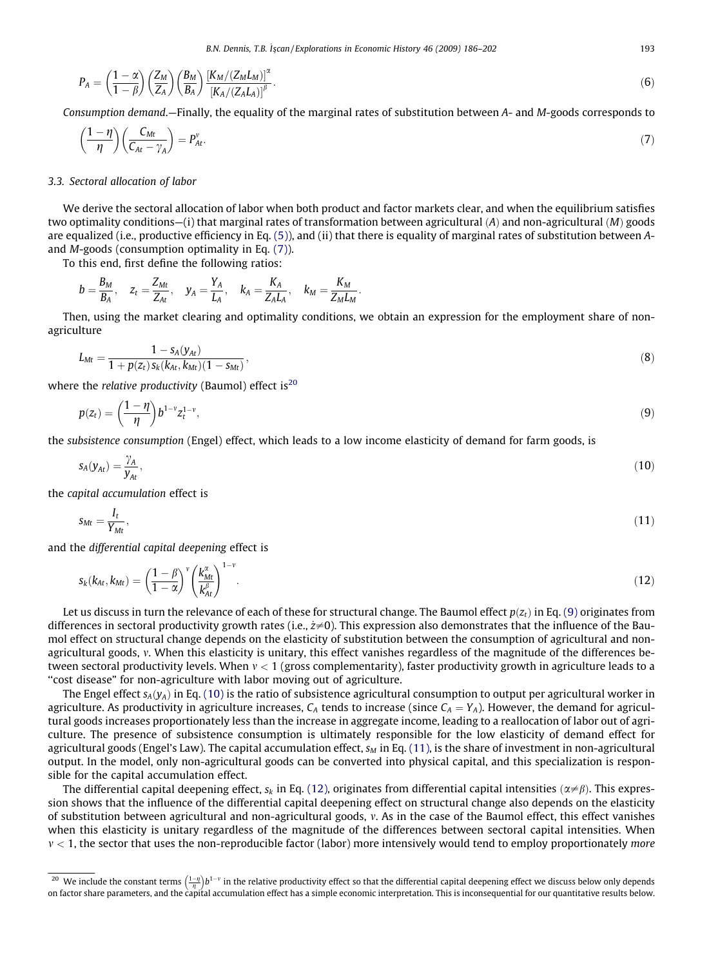<span id="page-7-0"></span>
$$
P_A = \left(\frac{1-\alpha}{1-\beta}\right) \left(\frac{Z_M}{Z_A}\right) \left(\frac{B_M}{B_A}\right) \frac{\left[K_M/(Z_M L_M)\right]^{\alpha}}{\left[K_A/(Z_A L_A)\right]^{\beta}}.
$$
\n(6)

Consumption demand.—Finally, the equality of the marginal rates of substitution between A- and M-goods corresponds to

$$
\left(\frac{1-\eta}{\eta}\right)\left(\frac{C_{Mt}}{C_{At}-\gamma_A}\right)=P_{At}^{\nu}.\tag{7}
$$

### 3.3. Sectoral allocation of labor

We derive the sectoral allocation of labor when both product and factor markets clear, and when the equilibrium satisfies two optimality conditions—(i) that marginal rates of transformation between agricultural  $(A)$  and non-agricultural  $(M)$  goods are equalized (i.e., productive efficiency in Eq. [\(5\)](#page-6-0)), and (ii) that there is equality of marginal rates of substitution between Aand M-goods (consumption optimality in Eq. (7)).

To this end, first define the following ratios:

$$
b=\frac{B_M}{B_A}, \quad z_t=\frac{Z_{Mt}}{Z_{At}}, \quad y_A=\frac{Y_A}{L_A}, \quad k_A=\frac{K_A}{Z_A L_A}, \quad k_M=\frac{K_M}{Z_M L_M}.
$$

Then, using the market clearing and optimality conditions, we obtain an expression for the employment share of nonagriculture

$$
L_{Mt} = \frac{1 - s_A(y_{At})}{1 + p(z_t)s_k(k_{At}, k_{Mt})(1 - s_{Mt})},
$$
\n(8)

where the *relative productivity* (Baumol) effect is<sup>20</sup>

$$
p(z_t) = \left(\frac{1-\eta}{\eta}\right) b^{1-\nu} z_t^{1-\nu},\tag{9}
$$

the subsistence consumption (Engel) effect, which leads to a low income elasticity of demand for farm goods, is

$$
s_A(y_{At}) = \frac{\gamma_A}{y_{At}},\tag{10}
$$

the capital accumulation effect is

$$
s_{Mt} = \frac{I_t}{Y_{Mt}},\tag{11}
$$

and the differential capital deepening effect is

$$
s_k(k_{At},k_{Mt}) = \left(\frac{1-\beta}{1-\alpha}\right)^{\nu} \left(\frac{k_{Mt}^{\alpha}}{k_{At}^{\beta}}\right)^{1-\nu}.\tag{12}
$$

Let us discuss in turn the relevance of each of these for structural change. The Baumol effect  $p(z_t)$  in Eq. (9) originates from differences in sectoral productivity growth rates (i.e.,  $\dot{z}\neq 0$ ). This expression also demonstrates that the influence of the Baumol effect on structural change depends on the elasticity of substitution between the consumption of agricultural and nonagricultural goods, v. When this elasticity is unitary, this effect vanishes regardless of the magnitude of the differences between sectoral productivity levels. When  $v < 1$  (gross complementarity), faster productivity growth in agriculture leads to a ''cost disease" for non-agriculture with labor moving out of agriculture.

The Engel effect  $s_A(y_A)$  in Eq. (10) is the ratio of subsistence agricultural consumption to output per agricultural worker in agriculture. As productivity in agriculture increases,  $C_A$  tends to increase (since  $C_A = Y_A$ ). However, the demand for agricultural goods increases proportionately less than the increase in aggregate income, leading to a reallocation of labor out of agriculture. The presence of subsistence consumption is ultimately responsible for the low elasticity of demand effect for agricultural goods (Engel's Law). The capital accumulation effect,  $s_M$  in Eq. (11), is the share of investment in non-agricultural output. In the model, only non-agricultural goods can be converted into physical capital, and this specialization is responsible for the capital accumulation effect.

The differential capital deepening effect,  $s_k$  in Eq. (12), originates from differential capital intensities  $(\alpha \neq \beta)$ . This expression shows that the influence of the differential capital deepening effect on structural change also depends on the elasticity of substitution between agricultural and non-agricultural goods, v. As in the case of the Baumol effect, this effect vanishes when this elasticity is unitary regardless of the magnitude of the differences between sectoral capital intensities. When  $v < 1$ , the sector that uses the non-reproducible factor (labor) more intensively would tend to employ proportionately more

 $^{\overline{20}$  We include the constant terms  $\left(\frac{1-\eta}{\eta}\right)b^{1-\nu}$  in the relative productivity effect so that the differential capital deepening effect we discuss below only depends on factor share parameters, and the capital accumulation effect has a simple economic interpretation. This is inconsequential for our quantitative results below.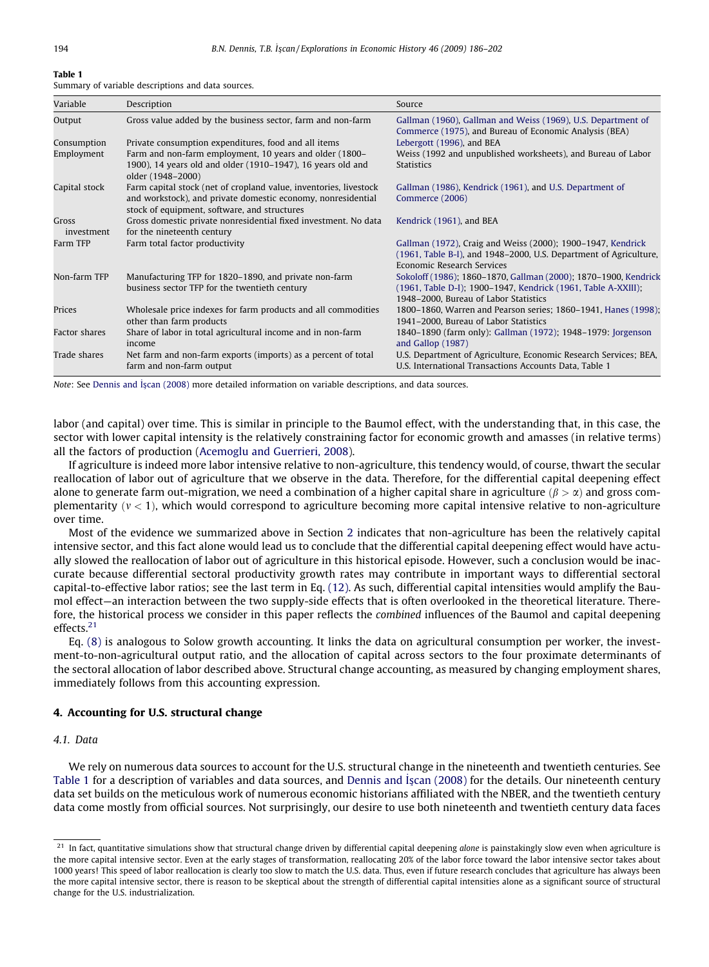### Table 1

Summary of variable descriptions and data sources.

| Variable            | Description                                                                                                                                                                       | Source                                                                                                                                                                    |
|---------------------|-----------------------------------------------------------------------------------------------------------------------------------------------------------------------------------|---------------------------------------------------------------------------------------------------------------------------------------------------------------------------|
| Output              | Gross value added by the business sector, farm and non-farm                                                                                                                       | Gallman (1960), Gallman and Weiss (1969), U.S. Department of<br>Commerce (1975), and Bureau of Economic Analysis (BEA)                                                    |
| Consumption         | Private consumption expenditures, food and all items                                                                                                                              | Lebergott (1996), and BEA                                                                                                                                                 |
| Employment          | Farm and non-farm employment, 10 years and older (1800–<br>1900), 14 years old and older (1910–1947), 16 years old and<br>older (1948-2000)                                       | Weiss (1992 and unpublished worksheets), and Bureau of Labor<br><b>Statistics</b>                                                                                         |
| Capital stock       | Farm capital stock (net of cropland value, inventories, livestock<br>and workstock), and private domestic economy, nonresidential<br>stock of equipment, software, and structures | Gallman (1986), Kendrick (1961), and U.S. Department of<br>Commerce (2006)                                                                                                |
| Gross<br>investment | Gross domestic private nonresidential fixed investment. No data<br>for the nineteenth century                                                                                     | Kendrick (1961), and BEA                                                                                                                                                  |
| Farm TFP            | Farm total factor productivity                                                                                                                                                    | Gallman (1972), Craig and Weiss (2000); 1900–1947, Kendrick<br>(1961, Table B-I), and 1948–2000, U.S. Department of Agriculture,<br>Economic Research Services            |
| Non-farm TFP        | Manufacturing TFP for 1820-1890, and private non-farm<br>business sector TFP for the twentieth century                                                                            | Sokoloff (1986); 1860-1870, Gallman (2000); 1870-1900, Kendrick<br>(1961, Table D-I); 1900–1947, Kendrick (1961, Table A-XXIII);<br>1948-2000, Bureau of Labor Statistics |
| Prices              | Wholesale price indexes for farm products and all commodities<br>other than farm products                                                                                         | 1800-1860, Warren and Pearson series; 1860-1941, Hanes (1998);<br>1941-2000, Bureau of Labor Statistics                                                                   |
| Factor shares       | Share of labor in total agricultural income and in non-farm<br>income                                                                                                             | 1840–1890 (farm only): Gallman (1972); 1948–1979: Jorgenson<br>and Gallop (1987)                                                                                          |
| Trade shares        | Net farm and non-farm exports (imports) as a percent of total<br>farm and non-farm output                                                                                         | U.S. Department of Agriculture, Economic Research Services; BEA,<br>U.S. International Transactions Accounts Data, Table 1                                                |

Note: See [Dennis and](#page-15-0) *Is[can \(2008\)](#page-15-0) more detailed information on variable descriptions*, and data sources.

labor (and capital) over time. This is similar in principle to the Baumol effect, with the understanding that, in this case, the sector with lower capital intensity is the relatively constraining factor for economic growth and amasses (in relative terms) all the factors of production [\(Acemoglu and Guerrieri, 2008\)](#page-15-0).

If agriculture is indeed more labor intensive relative to non-agriculture, this tendency would, of course, thwart the secular reallocation of labor out of agriculture that we observe in the data. Therefore, for the differential capital deepening effect alone to generate farm out-migration, we need a combination of a higher capital share in agriculture ( $\beta > \alpha$ ) and gross complementarity ( $v < 1$ ), which would correspond to agriculture becoming more capital intensive relative to non-agriculture over time.

Most of the evidence we summarized above in Section 2 indicates that non-agriculture has been the relatively capital intensive sector, and this fact alone would lead us to conclude that the differential capital deepening effect would have actually slowed the reallocation of labor out of agriculture in this historical episode. However, such a conclusion would be inaccurate because differential sectoral productivity growth rates may contribute in important ways to differential sectoral capital-to-effective labor ratios; see the last term in Eq. [\(12\).](#page-7-0) As such, differential capital intensities would amplify the Baumol effect—an interaction between the two supply-side effects that is often overlooked in the theoretical literature. Therefore, the historical process we consider in this paper reflects the combined influences of the Baumol and capital deepening effects.<sup>21</sup>

Eq. [\(8\)](#page-7-0) is analogous to Solow growth accounting. It links the data on agricultural consumption per worker, the investment-to-non-agricultural output ratio, and the allocation of capital across sectors to the four proximate determinants of the sectoral allocation of labor described above. Structural change accounting, as measured by changing employment shares, immediately follows from this accounting expression.

### 4. Accounting for U.S. structural change

### 4.1. Data

We rely on numerous data sources to account for the U.S. structural change in the nineteenth and twentieth centuries. See Table 1 for a description of variables and data sources, and [Dennis and](#page-15-0) *Is[can \(2008\)](#page-15-0)* for the details. Our nineteenth century data set builds on the meticulous work of numerous economic historians affiliated with the NBER, and the twentieth century data come mostly from official sources. Not surprisingly, our desire to use both nineteenth and twentieth century data faces

 $21$  In fact, quantitative simulations show that structural change driven by differential capital deepening alone is painstakingly slow even when agriculture is the more capital intensive sector. Even at the early stages of transformation, reallocating 20% of the labor force toward the labor intensive sector takes about 1000 years! This speed of labor reallocation is clearly too slow to match the U.S. data. Thus, even if future research concludes that agriculture has always been the more capital intensive sector, there is reason to be skeptical about the strength of differential capital intensities alone as a significant source of structural change for the U.S. industrialization.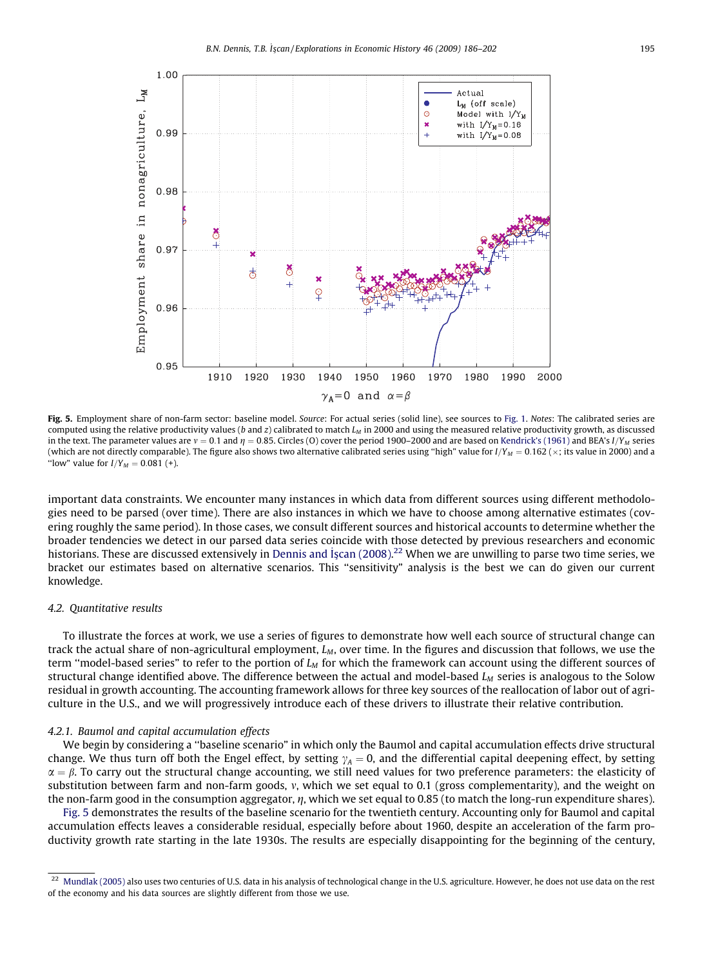<span id="page-9-0"></span>

Fig. 5. Employment share of non-farm sector: baseline model. Source: For actual series (solid line), see sources to [Fig. 1.](#page-1-0) Notes: The calibrated series are computed using the relative productivity values (b and z) calibrated to match  $L_M$  in 2000 and using the measured relative productivity growth, as discussed in the text. The parameter values are  $v = 0.1$  and  $\eta = 0.85$ . Circles (O) cover the period 1900–2000 and are based on [Kendrick's \(1961\)](#page-16-0) and BEA's  $I/Y<sub>M</sub>$  series (which are not directly comparable). The figure also shows two alternative calibrated series using "high" value for  $I/Y_M = 0.162 \times$ ; its value in 2000) and a "low" value for  $I/Y_M = 0.081$  (+).

important data constraints. We encounter many instances in which data from different sources using different methodologies need to be parsed (over time). There are also instances in which we have to choose among alternative estimates (covering roughly the same period). In those cases, we consult different sources and historical accounts to determine whether the broader tendencies we detect in our parsed data series coincide with those detected by previous researchers and economic historians. These are discussed extensively in [Dennis and](#page-15-0) İş[can \(2008\)](#page-15-0). $^{22}$  When we are unwilling to parse two time series, we bracket our estimates based on alternative scenarios. This ''sensitivity" analysis is the best we can do given our current knowledge.

### 4.2. Quantitative results

To illustrate the forces at work, we use a series of figures to demonstrate how well each source of structural change can track the actual share of non-agricultural employment,  $L_M$ , over time. In the figures and discussion that follows, we use the term "model-based series" to refer to the portion of  $L_M$  for which the framework can account using the different sources of structural change identified above. The difference between the actual and model-based  $L_M$  series is analogous to the Solow residual in growth accounting. The accounting framework allows for three key sources of the reallocation of labor out of agriculture in the U.S., and we will progressively introduce each of these drivers to illustrate their relative contribution.

### 4.2.1. Baumol and capital accumulation effects

We begin by considering a ''baseline scenario" in which only the Baumol and capital accumulation effects drive structural change. We thus turn off both the Engel effect, by setting  $\gamma_A = 0$ , and the differential capital deepening effect, by setting  $\alpha = \beta$ . To carry out the structural change accounting, we still need values for two preference parameters: the elasticity of substitution between farm and non-farm goods, v, which we set equal to 0.1 (gross complementarity), and the weight on the non-farm good in the consumption aggregator,  $\eta$ , which we set equal to 0.85 (to match the long-run expenditure shares).

Fig. 5 demonstrates the results of the baseline scenario for the twentieth century. Accounting only for Baumol and capital accumulation effects leaves a considerable residual, especially before about 1960, despite an acceleration of the farm productivity growth rate starting in the late 1930s. The results are especially disappointing for the beginning of the century,

<sup>&</sup>lt;sup>22</sup> [Mundlak \(2005\)](#page-16-0) also uses two centuries of U.S. data in his analysis of technological change in the U.S. agriculture. However, he does not use data on the rest of the economy and his data sources are slightly different from those we use.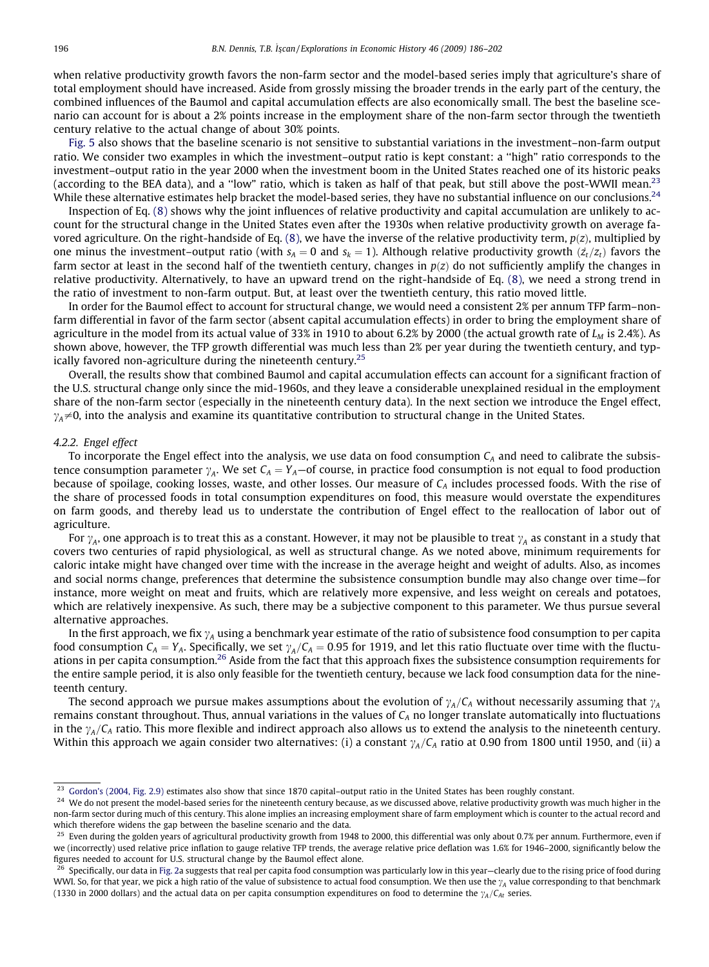when relative productivity growth favors the non-farm sector and the model-based series imply that agriculture's share of total employment should have increased. Aside from grossly missing the broader trends in the early part of the century, the combined influences of the Baumol and capital accumulation effects are also economically small. The best the baseline scenario can account for is about a 2% points increase in the employment share of the non-farm sector through the twentieth century relative to the actual change of about 30% points.

[Fig. 5](#page-9-0) also shows that the baseline scenario is not sensitive to substantial variations in the investment–non-farm output ratio. We consider two examples in which the investment–output ratio is kept constant: a ''high" ratio corresponds to the investment–output ratio in the year 2000 when the investment boom in the United States reached one of its historic peaks (according to the BEA data), and a "low" ratio, which is taken as half of that peak, but still above the post-WWII mean.<sup>23</sup> While these alternative estimates help bracket the model-based series, they have no substantial influence on our conclusions.<sup>24</sup>

Inspection of Eq. [\(8\)](#page-7-0) shows why the joint influences of relative productivity and capital accumulation are unlikely to account for the structural change in the United States even after the 1930s when relative productivity growth on average fa-vored agriculture. On the right-handside of Eq. [\(8\)](#page-7-0), we have the inverse of the relative productivity term,  $p(z)$ , multiplied by one minus the investment–output ratio (with  $s_A = 0$  and  $s_k = 1$ ). Although relative productivity growth  $(z_t/z_t)$  favors the farm sector at least in the second half of the twentieth century, changes in  $p(z)$  do not sufficiently amplify the changes in relative productivity. Alternatively, to have an upward trend on the right-handside of Eq. [\(8\),](#page-7-0) we need a strong trend in the ratio of investment to non-farm output. But, at least over the twentieth century, this ratio moved little.

In order for the Baumol effect to account for structural change, we would need a consistent 2% per annum TFP farm–nonfarm differential in favor of the farm sector (absent capital accumulation effects) in order to bring the employment share of agriculture in the model from its actual value of 33% in 1910 to about 6.2% by 2000 (the actual growth rate of  $L_M$  is 2.4%). As shown above, however, the TFP growth differential was much less than 2% per year during the twentieth century, and typically favored non-agriculture during the nineteenth century.<sup>25</sup>

Overall, the results show that combined Baumol and capital accumulation effects can account for a significant fraction of the U.S. structural change only since the mid-1960s, and they leave a considerable unexplained residual in the employment share of the non-farm sector (especially in the nineteenth century data). In the next section we introduce the Engel effect,  $\gamma_A\neq 0$ , into the analysis and examine its quantitative contribution to structural change in the United States.

### 4.2.2. Engel effect

To incorporate the Engel effect into the analysis, we use data on food consumption  $C_A$  and need to calibrate the subsistence consumption parameter  $\gamma_A$ . We set  $C_A = Y_A$  –of course, in practice food consumption is not equal to food production because of spoilage, cooking losses, waste, and other losses. Our measure of  $C_A$  includes processed foods. With the rise of the share of processed foods in total consumption expenditures on food, this measure would overstate the expenditures on farm goods, and thereby lead us to understate the contribution of Engel effect to the reallocation of labor out of agriculture.

For  $\gamma_A$ , one approach is to treat this as a constant. However, it may not be plausible to treat  $\gamma_A$  as constant in a study that covers two centuries of rapid physiological, as well as structural change. As we noted above, minimum requirements for caloric intake might have changed over time with the increase in the average height and weight of adults. Also, as incomes and social norms change, preferences that determine the subsistence consumption bundle may also change over time—for instance, more weight on meat and fruits, which are relatively more expensive, and less weight on cereals and potatoes, which are relatively inexpensive. As such, there may be a subjective component to this parameter. We thus pursue several alternative approaches.

In the first approach, we fix  $\gamma_A$  using a benchmark year estimate of the ratio of subsistence food consumption to per capita food consumption  $C_A = Y_A$ . Specifically, we set  $\gamma_A/C_A = 0.95$  for 1919, and let this ratio fluctuate over time with the fluctuations in per capita consumption.<sup>26</sup> Aside from the fact that this approach fixes the subsistence consumption requirements for the entire sample period, it is also only feasible for the twentieth century, because we lack food consumption data for the nineteenth century.

The second approach we pursue makes assumptions about the evolution of  $\gamma_A/C_A$  without necessarily assuming that  $\gamma_A$ remains constant throughout. Thus, annual variations in the values of  $C_A$  no longer translate automatically into fluctuations in the  $\gamma_A/C_A$  ratio. This more flexible and indirect approach also allows us to extend the analysis to the nineteenth century. Within this approach we again consider two alternatives: (i) a constant  $\gamma_A/C_A$  ratio at 0.90 from 1800 until 1950, and (ii) a

<sup>&</sup>lt;sup>23</sup> [Gordon's \(2004, Fig. 2.9\)](#page-16-0) estimates also show that since 1870 capital-output ratio in the United States has been roughly constant.

<sup>&</sup>lt;sup>24</sup> We do not present the model-based series for the nineteenth century because, as we discussed above, relative productivity growth was much higher in the non-farm sector during much of this century. This alone implies an increasing employment share of farm employment which is counter to the actual record and which therefore widens the gap between the baseline scenario and the data.

 $25$  Even during the golden years of agricultural productivity growth from 1948 to 2000, this differential was only about 0.7% per annum. Furthermore, even if we (incorrectly) used relative price inflation to gauge relative TFP trends, the average relative price deflation was 1.6% for 1946–2000, significantly below the figures needed to account for U.S. structural change by the Baumol effect alone.

Specifically, our data in [Fig. 2a](#page-2-0) suggests that real per capita food consumption was particularly low in this year—clearly due to the rising price of food during WWI. So, for that year, we pick a high ratio of the value of subsistence to actual food consumption. We then use the  $\gamma_A$  value corresponding to that benchmark (1330 in 2000 dollars) and the actual data on per capita consumption expenditures on food to determine the  $\gamma_A/C_{At}$  series.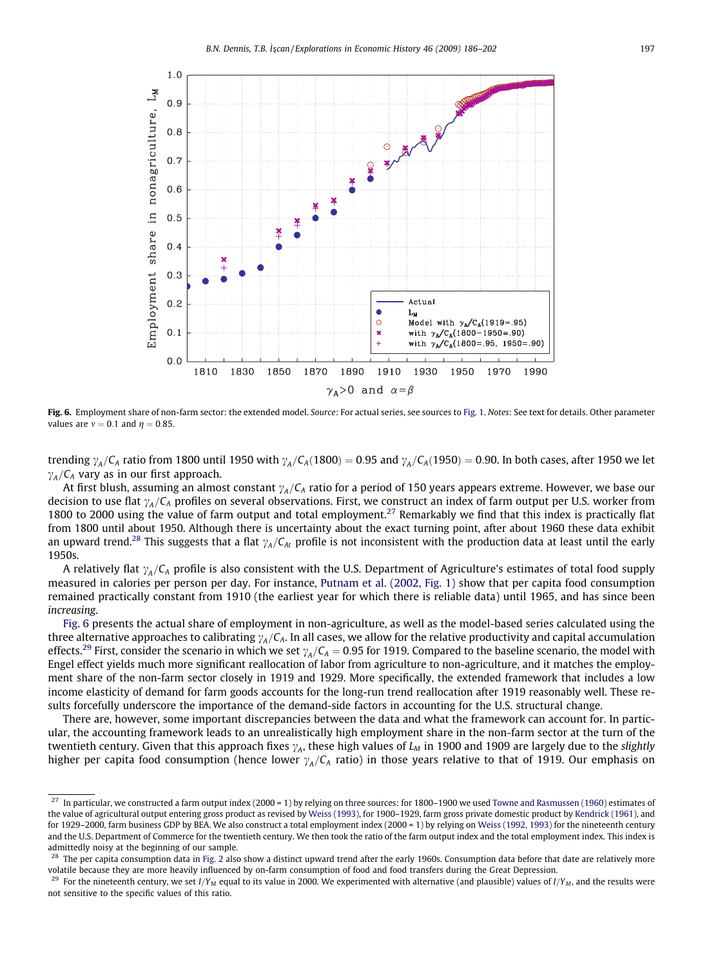<span id="page-11-0"></span>

Fig. 6. Employment share of non-farm sector: the extended model. Source: For actual series, see sources to [Fig. 1.](#page-1-0) Notes: See text for details. Other parameter values are  $v = 0.1$  and  $\eta = 0.85$ .

trending  $\gamma_A/C_A$  ratio from 1800 until 1950 with  $\gamma_A/C_A(1800) = 0.95$  and  $\gamma_A/C_A(1950) = 0.90$ . In both cases, after 1950 we let  $\gamma_A/C_A$  vary as in our first approach.

At first blush, assuming an almost constant  $\gamma_A/C_A$  ratio for a period of 150 years appears extreme. However, we base our decision to use flat  $\gamma_A/C_A$  profiles on several observations. First, we construct an index of farm output per U.S. worker from 1800 to 2000 using the value of farm output and total employment.<sup>27</sup> Remarkably we find that this index is practically flat from 1800 until about 1950. Although there is uncertainty about the exact turning point, after about 1960 these data exhibit an upward trend.<sup>28</sup> This suggests that a flat  $\gamma_A/C_{At}$  profile is not inconsistent with the production data at least until the early 1950s.

A relatively flat  $\gamma_A/C_A$  profile is also consistent with the U.S. Department of Agriculture's estimates of total food supply measured in calories per person per day. For instance, [Putnam et al. \(2002, Fig. 1\)](#page-16-0) show that per capita food consumption remained practically constant from 1910 (the earliest year for which there is reliable data) until 1965, and has since been increasing.

Fig. 6 presents the actual share of employment in non-agriculture, as well as the model-based series calculated using the three alternative approaches to calibrating  $\gamma_A/C_A$ . In all cases, we allow for the relative productivity and capital accumulation effects.<sup>29</sup> First, consider the scenario in which we set  $\gamma_A/C_A = 0.95$  for 1919. Compared to the baseline scenario, the model with Engel effect yields much more significant reallocation of labor from agriculture to non-agriculture, and it matches the employment share of the non-farm sector closely in 1919 and 1929. More specifically, the extended framework that includes a low income elasticity of demand for farm goods accounts for the long-run trend reallocation after 1919 reasonably well. These results forcefully underscore the importance of the demand-side factors in accounting for the U.S. structural change.

There are, however, some important discrepancies between the data and what the framework can account for. In particular, the accounting framework leads to an unrealistically high employment share in the non-farm sector at the turn of the twentieth century. Given that this approach fixes  $\gamma_A$ , these high values of  $L_M$  in 1900 and 1909 are largely due to the slightly higher per capita food consumption (hence lower  $\gamma_A/C_A$  ratio) in those years relative to that of 1919. Our emphasis on

 $\frac{27}{27}$  In particular, we constructed a farm output index (2000 = 1) by relying on three sources: for 1800–1900 we used [Towne and Rasmussen \(1960\)](#page-16-0) estimates of the value of agricultural output entering gross product as revised by [Weiss \(1993\),](#page-16-0) for 1900–1929, farm gross private domestic product by [Kendrick \(1961\)](#page-16-0), and for 1929–2000, farm business GDP by BEA. We also construct a total employment index (2000 = 1) by relying on [Weiss \(1992, 1993\)](#page-16-0) for the nineteenth century and the U.S. Department of Commerce for the twentieth century. We then took the ratio of the farm output index and the total employment index. This index is admittedly noisy at the beginning of our sample.

<sup>&</sup>lt;sup>28</sup> The per capita consumption data in [Fig. 2](#page-2-0) also show a distinct upward trend after the early 1960s. Consumption data before that date are relatively more volatile because they are more heavily influenced by on-farm consumption of food and food transfers during the Great Depression.

<sup>&</sup>lt;sup>29</sup> For the nineteenth century, we set  $I/Y_M$  equal to its value in 2000. We experimented with alternative (and plausible) values of  $I/Y_M$ , and the results were not sensitive to the specific values of this ratio.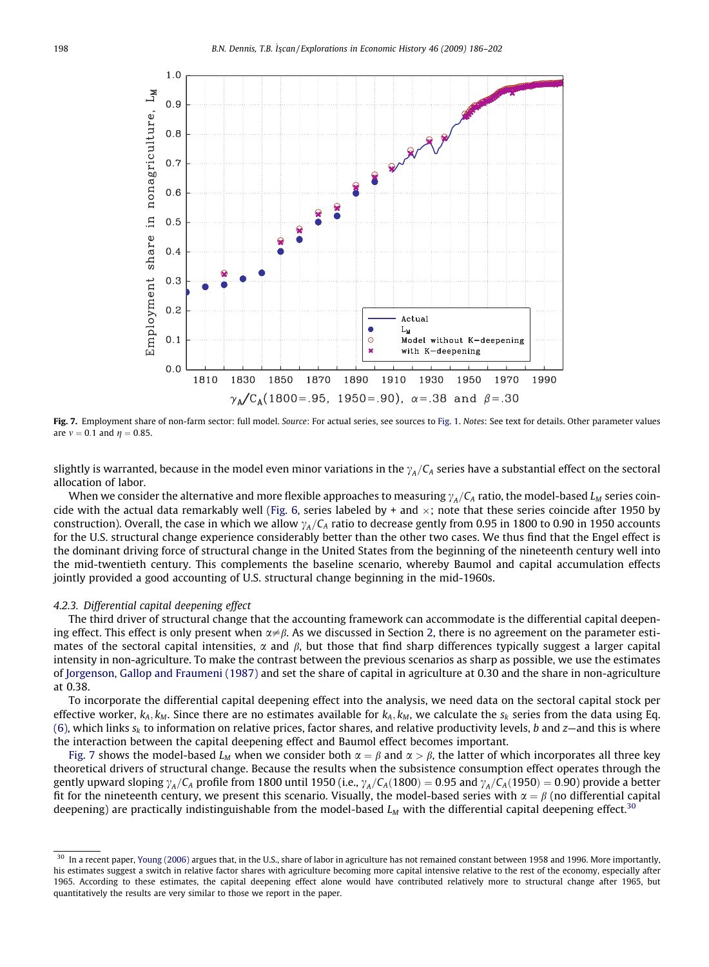

Fig. 7. Employment share of non-farm sector: full model. Source: For actual series, see sources to [Fig. 1.](#page-1-0) Notes: See text for details. Other parameter values are  $v = 0.1$  and  $\eta = 0.85$ .

slightly is warranted, because in the model even minor variations in the  $\gamma_A/C_A$  series have a substantial effect on the sectoral allocation of labor.

When we consider the alternative and more flexible approaches to measuring  $\gamma_A/C_A$  ratio, the model-based  $L_M$  series coin-cide with the actual data remarkably well ([Fig. 6,](#page-11-0) series labeled by + and  $\times$ ; note that these series coincide after 1950 by construction). Overall, the case in which we allow  $\gamma_A/C_A$  ratio to decrease gently from 0.95 in 1800 to 0.90 in 1950 accounts for the U.S. structural change experience considerably better than the other two cases. We thus find that the Engel effect is the dominant driving force of structural change in the United States from the beginning of the nineteenth century well into the mid-twentieth century. This complements the baseline scenario, whereby Baumol and capital accumulation effects jointly provided a good accounting of U.S. structural change beginning in the mid-1960s.

### 4.2.3. Differential capital deepening effect

The third driver of structural change that the accounting framework can accommodate is the differential capital deepening effect. This effect is only present when  $\alpha \neq \beta$ . As we discussed in Section 2, there is no agreement on the parameter estimates of the sectoral capital intensities,  $\alpha$  and  $\beta$ , but those that find sharp differences typically suggest a larger capital intensity in non-agriculture. To make the contrast between the previous scenarios as sharp as possible, we use the estimates of [Jorgenson, Gallop and Fraumeni \(1987\)](#page-16-0) and set the share of capital in agriculture at 0.30 and the share in non-agriculture at 0.38.

To incorporate the differential capital deepening effect into the analysis, we need data on the sectoral capital stock per effective worker,  $k_A$ ,  $k_M$ . Since there are no estimates available for  $k_A$ ,  $k_M$ , we calculate the  $s_k$  series from the data using Eq. [\(6\),](#page-6-0) which links  $s_k$  to information on relative prices, factor shares, and relative productivity levels, b and  $z$ —and this is where the interaction between the capital deepening effect and Baumol effect becomes important.

Fig. 7 shows the model-based  $L_M$  when we consider both  $\alpha = \beta$  and  $\alpha > \beta$ , the latter of which incorporates all three key theoretical drivers of structural change. Because the results when the subsistence consumption effect operates through the gently upward sloping  $\gamma_A/C_A$  profile from 1800 until 1950 (i.e.,  $\gamma_A/C_A(1800) = 0.95$  and  $\gamma_A/C_A(1950) = 0.90$ ) provide a better fit for the nineteenth century, we present this scenario. Visually, the model-based series with  $\alpha = \beta$  (no differential capital deepening) are practically indistinguishable from the model-based  $L_M$  with the differential capital deepening effect.<sup>30</sup>

In a recent paper, [Young \(2006\)](#page-16-0) argues that, in the U.S., share of labor in agriculture has not remained constant between 1958 and 1996. More importantly, his estimates suggest a switch in relative factor shares with agriculture becoming more capital intensive relative to the rest of the economy, especially after 1965. According to these estimates, the capital deepening effect alone would have contributed relatively more to structural change after 1965, but quantitatively the results are very similar to those we report in the paper.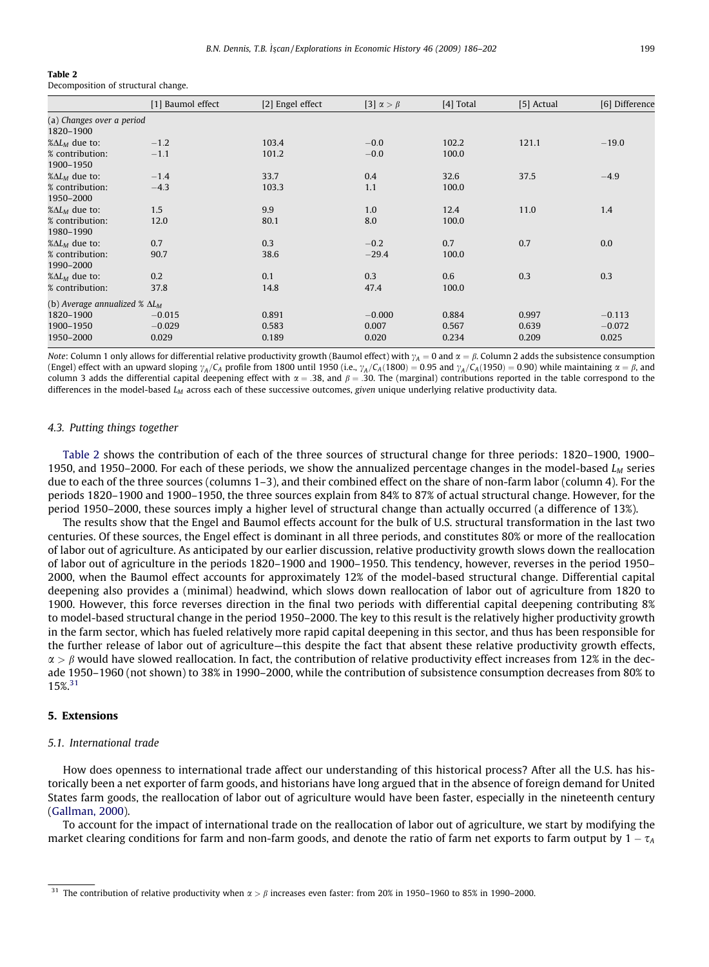| Table 2                             |  |
|-------------------------------------|--|
| Decomposition of structural change. |  |

|                                          | [1] Baumol effect | [2] Engel effect | [3] $\alpha > \beta$ | [4] Total | [5] Actual | [6] Difference |
|------------------------------------------|-------------------|------------------|----------------------|-----------|------------|----------------|
| (a) Changes over a period<br>1820-1900   |                   |                  |                      |           |            |                |
| $\% \Delta L_M$ due to:                  | $-1.2$            | 103.4            | $-0.0$               | 102.2     | 121.1      | $-19.0$        |
| % contribution:<br>1900-1950             | $-1.1$            | 101.2            | $-0.0$               | 100.0     |            |                |
| $\% \Delta L_M$ due to:                  | $-1.4$            | 33.7             | 0.4                  | 32.6      | 37.5       | $-4.9$         |
| % contribution:<br>1950-2000             | $-4.3$            | 103.3            | 1.1                  | 100.0     |            |                |
| $\% \Delta L_M$ due to:                  | 1.5               | 9.9              | 1.0                  | 12.4      | 11.0       | 1.4            |
| % contribution:<br>1980-1990             | 12.0              | 80.1             | 8.0                  | 100.0     |            |                |
| %∆L <sub>M</sub> due to:                 | 0.7               | 0.3              | $-0.2$               | 0.7       | 0.7        | 0.0            |
| % contribution:<br>1990-2000             | 90.7              | 38.6             | $-29.4$              | 100.0     |            |                |
| % $\Delta L_M$ due to:                   | 0.2               | 0.1              | 0.3                  | 0.6       | 0.3        | 0.3            |
| % contribution:                          | 37.8              | 14.8             | 47.4                 | 100.0     |            |                |
| (b) Average annualized $\%$ $\Delta L_M$ |                   |                  |                      |           |            |                |
| 1820-1900                                | $-0.015$          | 0.891            | $-0.000$             | 0.884     | 0.997      | $-0.113$       |
| 1900-1950                                | $-0.029$          | 0.583            | 0.007                | 0.567     | 0.639      | $-0.072$       |
| 1950-2000                                | 0.029             | 0.189            | 0.020                | 0.234     | 0.209      | 0.025          |

Note: Column 1 only allows for differential relative productivity growth (Baumol effect) with  $\gamma_A = 0$  and  $\alpha = \beta$ . Column 2 adds the subsistence consumption (Engel) effect with an upward sloping  $\gamma_A/C_A$  profile from 1800 until 1950 (i.e.,  $\gamma_A/C_A(1800) = 0.95$  and  $\gamma_A/C_A(1950) = 0.90$ ) while maintaining  $\alpha = \beta$ , and column 3 adds the differential capital deepening effect with  $\alpha = .38$ , and  $\beta = .30$ . The (marginal) contributions reported in the table correspond to the differences in the model-based  $L_M$  across each of these successive outcomes, given unique underlying relative productivity data.

### 4.3. Putting things together

Table 2 shows the contribution of each of the three sources of structural change for three periods: 1820–1900, 1900– 1950, and 1950–2000. For each of these periods, we show the annualized percentage changes in the model-based  $L_M$  series due to each of the three sources (columns 1–3), and their combined effect on the share of non-farm labor (column 4). For the periods 1820–1900 and 1900–1950, the three sources explain from 84% to 87% of actual structural change. However, for the period 1950–2000, these sources imply a higher level of structural change than actually occurred (a difference of 13%).

The results show that the Engel and Baumol effects account for the bulk of U.S. structural transformation in the last two centuries. Of these sources, the Engel effect is dominant in all three periods, and constitutes 80% or more of the reallocation of labor out of agriculture. As anticipated by our earlier discussion, relative productivity growth slows down the reallocation of labor out of agriculture in the periods 1820–1900 and 1900–1950. This tendency, however, reverses in the period 1950– 2000, when the Baumol effect accounts for approximately 12% of the model-based structural change. Differential capital deepening also provides a (minimal) headwind, which slows down reallocation of labor out of agriculture from 1820 to 1900. However, this force reverses direction in the final two periods with differential capital deepening contributing 8% to model-based structural change in the period 1950–2000. The key to this result is the relatively higher productivity growth in the farm sector, which has fueled relatively more rapid capital deepening in this sector, and thus has been responsible for the further release of labor out of agriculture—this despite the fact that absent these relative productivity growth effects,  $\alpha > \beta$  would have slowed reallocation. In fact, the contribution of relative productivity effect increases from 12% in the decade 1950–1960 (not shown) to 38% in 1990–2000, while the contribution of subsistence consumption decreases from 80% to 15%.31

### 5. Extensions

### 5.1. International trade

How does openness to international trade affect our understanding of this historical process? After all the U.S. has historically been a net exporter of farm goods, and historians have long argued that in the absence of foreign demand for United States farm goods, the reallocation of labor out of agriculture would have been faster, especially in the nineteenth century ([Gallman, 2000\)](#page-16-0).

To account for the impact of international trade on the reallocation of labor out of agriculture, we start by modifying the market clearing conditions for farm and non-farm goods, and denote the ratio of farm net exports to farm output by 1 –  $\tau_A$ 

<sup>&</sup>lt;sup>31</sup> The contribution of relative productivity when  $\alpha > \beta$  increases even faster: from 20% in 1950–1960 to 85% in 1990–2000.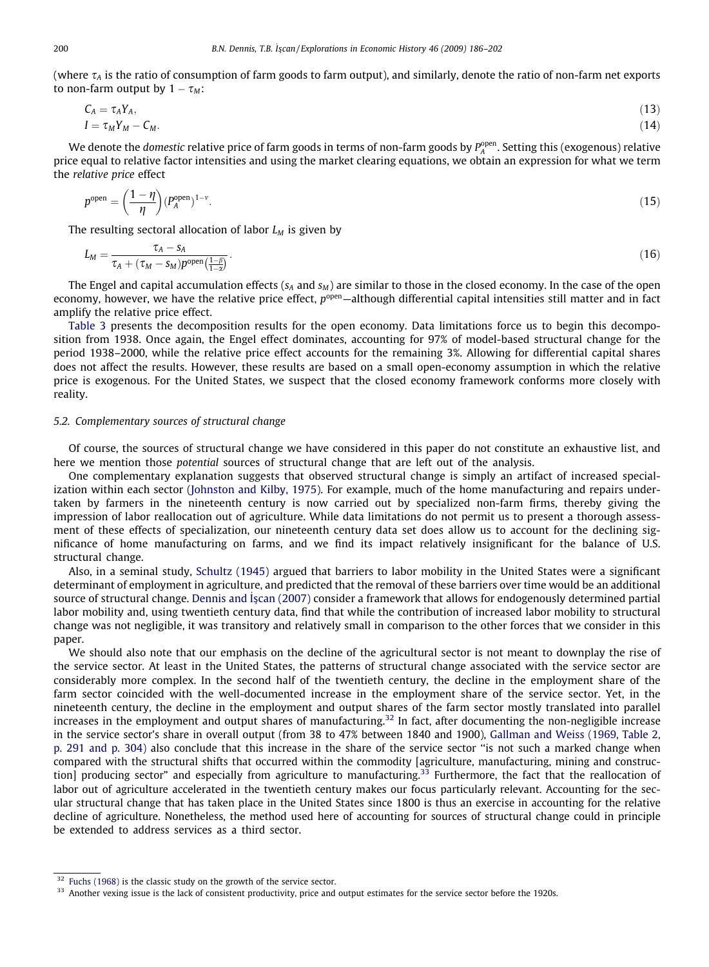(where  $\tau_A$  is the ratio of consumption of farm goods to farm output), and similarly, denote the ratio of non-farm net exports to non-farm output by  $1 - \tau_M$ :

$$
C_A = \tau_A Y_A, \tag{13}
$$
\n
$$
I = \tau_M Y_M - C_M. \tag{14}
$$

We denote the *domestic r*elative price of farm goods in terms of non-farm goods by  $P_A^{\rm open}$ . Setting this (exogenous) relative price equal to relative factor intensities and using the market clearing equations, we obtain an expression for what we term the relative price effect

$$
p^{\text{open}} = \left(\frac{1-\eta}{\eta}\right) (P_A^{\text{open}})^{1-\nu}.
$$

The resulting sectoral allocation of labor  $L_M$  is given by

$$
L_M = \frac{\tau_A - s_A}{\tau_A + (\tau_M - s_M)p^{\text{open}}\left(\frac{1-\beta}{1-\alpha}\right)}.
$$
\n(16)

The Engel and capital accumulation effects ( $s_A$  and  $s_M$ ) are similar to those in the closed economy. In the case of the open economy, however, we have the relative price effect,  $p^{open}$  although differential capital intensities still matter and in fact amplify the relative price effect.

[Table 3](#page-15-0) presents the decomposition results for the open economy. Data limitations force us to begin this decomposition from 1938. Once again, the Engel effect dominates, accounting for 97% of model-based structural change for the period 1938–2000, while the relative price effect accounts for the remaining 3%. Allowing for differential capital shares does not affect the results. However, these results are based on a small open-economy assumption in which the relative price is exogenous. For the United States, we suspect that the closed economy framework conforms more closely with reality.

### 5.2. Complementary sources of structural change

Of course, the sources of structural change we have considered in this paper do not constitute an exhaustive list, and here we mention those potential sources of structural change that are left out of the analysis.

One complementary explanation suggests that observed structural change is simply an artifact of increased specialization within each sector ([Johnston and Kilby, 1975](#page-16-0)). For example, much of the home manufacturing and repairs undertaken by farmers in the nineteenth century is now carried out by specialized non-farm firms, thereby giving the impression of labor reallocation out of agriculture. While data limitations do not permit us to present a thorough assessment of these effects of specialization, our nineteenth century data set does allow us to account for the declining significance of home manufacturing on farms, and we find its impact relatively insignificant for the balance of U.S. structural change.

Also, in a seminal study, [Schultz \(1945\)](#page-16-0) argued that barriers to labor mobility in the United States were a significant determinant of employment in agriculture, and predicted that the removal of these barriers over time would be an additional source of structural change. [Dennis and](#page-15-0) *ls[can \(2007\)](#page-15-0) consider a framework that allows for endogenously determined partial* labor mobility and, using twentieth century data, find that while the contribution of increased labor mobility to structural change was not negligible, it was transitory and relatively small in comparison to the other forces that we consider in this paper.

We should also note that our emphasis on the decline of the agricultural sector is not meant to downplay the rise of the service sector. At least in the United States, the patterns of structural change associated with the service sector are considerably more complex. In the second half of the twentieth century, the decline in the employment share of the farm sector coincided with the well-documented increase in the employment share of the service sector. Yet, in the nineteenth century, the decline in the employment and output shares of the farm sector mostly translated into parallel increases in the employment and output shares of manufacturing.<sup>32</sup> In fact, after documenting the non-negligible increase in the service sector's share in overall output (from 38 to 47% between 1840 and 1900), [Gallman and Weiss \(1969, Table 2,](#page-16-0) [p. 291 and p. 304\)](#page-16-0) also conclude that this increase in the share of the service sector ''is not such a marked change when compared with the structural shifts that occurred within the commodity [agriculture, manufacturing, mining and construction] producing sector" and especially from agriculture to manufacturing.<sup>33</sup> Furthermore, the fact that the reallocation of labor out of agriculture accelerated in the twentieth century makes our focus particularly relevant. Accounting for the secular structural change that has taken place in the United States since 1800 is thus an exercise in accounting for the relative decline of agriculture. Nonetheless, the method used here of accounting for sources of structural change could in principle be extended to address services as a third sector.

<sup>&</sup>lt;sup>32</sup> [Fuchs \(1968\)](#page-15-0) is the classic study on the growth of the service sector.

<sup>&</sup>lt;sup>33</sup> Another vexing issue is the lack of consistent productivity, price and output estimates for the service sector before the 1920s.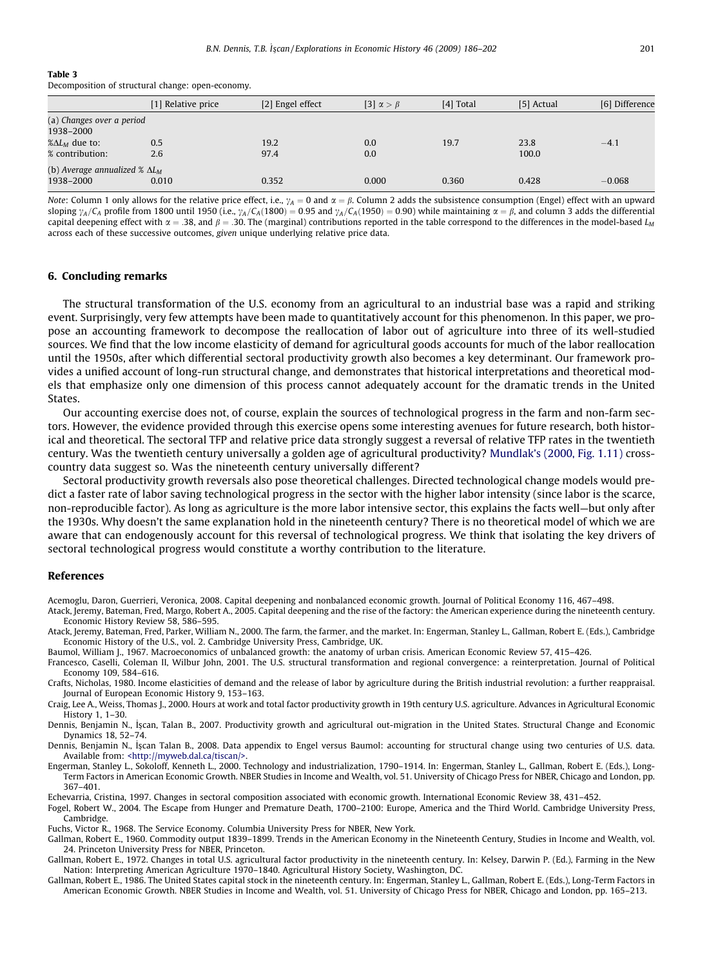### <span id="page-15-0"></span>Table 3

Decomposition of structural change: open-economy.

|                                          | [1] Relative price | [2] Engel effect | [3] $\alpha > \beta$ | [4] Total | [5] Actual | [6] Difference |  |
|------------------------------------------|--------------------|------------------|----------------------|-----------|------------|----------------|--|
| (a) Changes over a period<br>1938-2000   |                    |                  |                      |           |            |                |  |
| $\%$ $\Delta$ $L_M$ due to:              | 0.5                | 19.2             | 0.0                  | 19.7      | 23.8       | $-4.1$         |  |
| % contribution:                          | 2.6                | 97.4             | 0.0                  |           | 100.0      |                |  |
| (b) Average annualized $\%$ $\Delta L_M$ |                    |                  |                      |           |            |                |  |
| 1938-2000                                | 0.010              | 0.352            | 0.000                | 0.360     | 0.428      | $-0.068$       |  |

Note: Column 1 only allows for the relative price effect, i.e.,  $\gamma_A = 0$  and  $\alpha = \beta$ . Column 2 adds the subsistence consumption (Engel) effect with an upward sloping  $\gamma_A/C_A$  profile from 1800 until 1950 (i.e.,  $\gamma_A/C_A(1800) = 0.95$  and  $\gamma_A/C_A(1950) = 0.90$ ) while maintaining  $\alpha = \beta$ , and column 3 adds the differential capital deepening effect with  $\alpha = .38$ , and  $\beta = .30$ . The (marginal) contributions reported in the table correspond to the differences in the model-based  $L_M$ across each of these successive outcomes, given unique underlying relative price data.

### 6. Concluding remarks

The structural transformation of the U.S. economy from an agricultural to an industrial base was a rapid and striking event. Surprisingly, very few attempts have been made to quantitatively account for this phenomenon. In this paper, we propose an accounting framework to decompose the reallocation of labor out of agriculture into three of its well-studied sources. We find that the low income elasticity of demand for agricultural goods accounts for much of the labor reallocation until the 1950s, after which differential sectoral productivity growth also becomes a key determinant. Our framework provides a unified account of long-run structural change, and demonstrates that historical interpretations and theoretical models that emphasize only one dimension of this process cannot adequately account for the dramatic trends in the United States.

Our accounting exercise does not, of course, explain the sources of technological progress in the farm and non-farm sectors. However, the evidence provided through this exercise opens some interesting avenues for future research, both historical and theoretical. The sectoral TFP and relative price data strongly suggest a reversal of relative TFP rates in the twentieth century. Was the twentieth century universally a golden age of agricultural productivity? [Mundlak's \(2000, Fig. 1.11\)](#page-16-0) crosscountry data suggest so. Was the nineteenth century universally different?

Sectoral productivity growth reversals also pose theoretical challenges. Directed technological change models would predict a faster rate of labor saving technological progress in the sector with the higher labor intensity (since labor is the scarce, non-reproducible factor). As long as agriculture is the more labor intensive sector, this explains the facts well—but only after the 1930s. Why doesn't the same explanation hold in the nineteenth century? There is no theoretical model of which we are aware that can endogenously account for this reversal of technological progress. We think that isolating the key drivers of sectoral technological progress would constitute a worthy contribution to the literature.

### References

Acemoglu, Daron, Guerrieri, Veronica, 2008. Capital deepening and nonbalanced economic growth. Journal of Political Economy 116, 467–498.

- Atack, Jeremy, Bateman, Fred, Margo, Robert A., 2005. Capital deepening and the rise of the factory: the American experience during the nineteenth century. Economic History Review 58, 586–595.
- Atack, Jeremy, Bateman, Fred, Parker, William N., 2000. The farm, the farmer, and the market. In: Engerman, Stanley L., Gallman, Robert E. (Eds.), Cambridge Economic History of the U.S., vol. 2. Cambridge University Press, Cambridge, UK.
- Baumol, William J., 1967. Macroeconomics of unbalanced growth: the anatomy of urban crisis. American Economic Review 57, 415–426.
- Francesco, Caselli, Coleman II, Wilbur John, 2001. The U.S. structural transformation and regional convergence: a reinterpretation. Journal of Political Economy 109, 584–616.
- Crafts, Nicholas, 1980. Income elasticities of demand and the release of labor by agriculture during the British industrial revolution: a further reappraisal. Journal of European Economic History 9, 153–163.
- Craig, Lee A., Weiss, Thomas J., 2000. Hours at work and total factor productivity growth in 19th century U.S. agriculture. Advances in Agricultural Economic History 1, 1–30.

Dennis, Benjamin N., İşcan, Talan B., 2007. Productivity growth and agricultural out-migration in the United States. Structural Change and Economic Dynamics 18, 52–74.

Dennis, Benjamin N., İşcan Talan B., 2008. Data appendix to Engel versus Baumol: accounting for structural change using two centuries of U.S. data. Available from: [<http://myweb.dal.ca/tiscan/>.](http://myweb.dal.ca/tiscan/)

- Engerman, Stanley L., Sokoloff, Kenneth L., 2000. Technology and industrialization, 1790–1914. In: Engerman, Stanley L., Gallman, Robert E. (Eds.), Long-Term Factors in American Economic Growth. NBER Studies in Income and Wealth, vol. 51. University of Chicago Press for NBER, Chicago and London, pp. 367–401.
- Echevarria, Cristina, 1997. Changes in sectoral composition associated with economic growth. International Economic Review 38, 431–452.
- Fogel, Robert W., 2004. The Escape from Hunger and Premature Death, 1700–2100: Europe, America and the Third World. Cambridge University Press, Cambridge.

Fuchs, Victor R., 1968. The Service Economy. Columbia University Press for NBER, New York.

- Gallman, Robert E., 1960. Commodity output 1839–1899. Trends in the American Economy in the Nineteenth Century, Studies in Income and Wealth, vol. 24. Princeton University Press for NBER, Princeton.
- Gallman, Robert E., 1972. Changes in total U.S. agricultural factor productivity in the nineteenth century. In: Kelsey, Darwin P. (Ed.), Farming in the New Nation: Interpreting American Agriculture 1970–1840. Agricultural History Society, Washington, DC.
- Gallman, Robert E., 1986. The United States capital stock in the nineteenth century. In: Engerman, Stanley L., Gallman, Robert E. (Eds.), Long-Term Factors in American Economic Growth. NBER Studies in Income and Wealth, vol. 51. University of Chicago Press for NBER, Chicago and London, pp. 165–213.